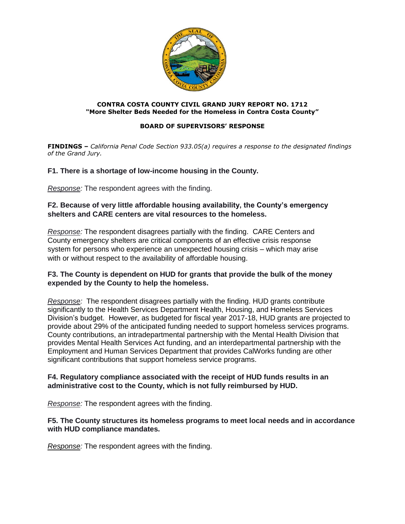

#### **CONTRA COSTA COUNTY CIVIL GRAND JURY REPORT NO. 1712 "More Shelter Beds Needed for the Homeless in Contra Costa County"**

#### **BOARD OF SUPERVISORS' RESPONSE**

**FINDINGS –** *California Penal Code Section 933.05(a) requires a response to the designated findings of the Grand Jury.*

#### **F1. There is a shortage of low-income housing in the County.**

*Response:* The respondent agrees with the finding.

#### **F2. Because of very little affordable housing availability, the County's emergency shelters and CARE centers are vital resources to the homeless.**

*Response:* The respondent disagrees partially with the finding. CARE Centers and County emergency shelters are critical components of an effective crisis response system for persons who experience an unexpected housing crisis – which may arise with or without respect to the availability of affordable housing.

#### **F3. The County is dependent on HUD for grants that provide the bulk of the money expended by the County to help the homeless.**

*Response:* The respondent disagrees partially with the finding. HUD grants contribute significantly to the Health Services Department Health, Housing, and Homeless Services Division's budget. However, as budgeted for fiscal year 2017-18, HUD grants are projected to provide about 29% of the anticipated funding needed to support homeless services programs. County contributions, an intradepartmental partnership with the Mental Health Division that provides Mental Health Services Act funding, and an interdepartmental partnership with the Employment and Human Services Department that provides CalWorks funding are other significant contributions that support homeless service programs.

#### **F4. Regulatory compliance associated with the receipt of HUD funds results in an administrative cost to the County, which is not fully reimbursed by HUD.**

*Response:* The respondent agrees with the finding.

#### **F5. The County structures its homeless programs to meet local needs and in accordance with HUD compliance mandates.**

*Response:* The respondent agrees with the finding.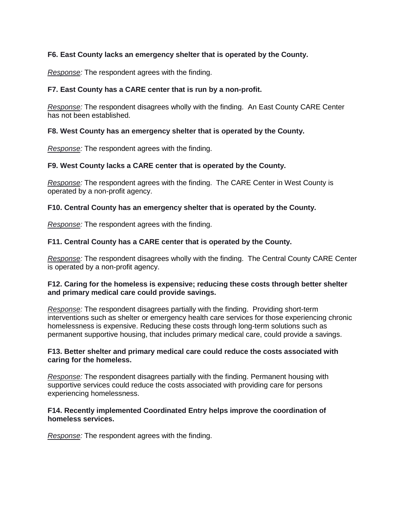#### **F6. East County lacks an emergency shelter that is operated by the County.**

*Response:* The respondent agrees with the finding.

#### **F7. East County has a CARE center that is run by a non-profit.**

*Response:* The respondent disagrees wholly with the finding. An East County CARE Center has not been established.

#### **F8. West County has an emergency shelter that is operated by the County.**

*Response:* The respondent agrees with the finding.

#### **F9. West County lacks a CARE center that is operated by the County.**

*Response:* The respondent agrees with the finding. The CARE Center in West County is operated by a non-profit agency.

#### **F10. Central County has an emergency shelter that is operated by the County.**

*Response:* The respondent agrees with the finding.

#### **F11. Central County has a CARE center that is operated by the County.**

*Response:* The respondent disagrees wholly with the finding. The Central County CARE Center is operated by a non-profit agency.

#### **F12. Caring for the homeless is expensive; reducing these costs through better shelter and primary medical care could provide savings.**

*Response:* The respondent disagrees partially with the finding. Providing short-term interventions such as shelter or emergency health care services for those experiencing chronic homelessness is expensive. Reducing these costs through long-term solutions such as permanent supportive housing, that includes primary medical care, could provide a savings.

#### **F13. Better shelter and primary medical care could reduce the costs associated with caring for the homeless.**

*Response:* The respondent disagrees partially with the finding. Permanent housing with supportive services could reduce the costs associated with providing care for persons experiencing homelessness.

#### **F14. Recently implemented Coordinated Entry helps improve the coordination of homeless services.**

*Response:* The respondent agrees with the finding.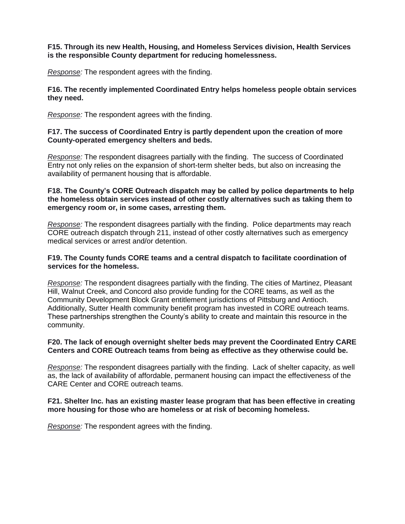#### **F15. Through its new Health, Housing, and Homeless Services division, Health Services is the responsible County department for reducing homelessness.**

*Response:* The respondent agrees with the finding.

#### **F16. The recently implemented Coordinated Entry helps homeless people obtain services they need.**

*Response:* The respondent agrees with the finding.

#### **F17. The success of Coordinated Entry is partly dependent upon the creation of more County-operated emergency shelters and beds.**

*Response:* The respondent disagrees partially with the finding. The success of Coordinated Entry not only relies on the expansion of short-term shelter beds, but also on increasing the availability of permanent housing that is affordable.

#### **F18. The County's CORE Outreach dispatch may be called by police departments to help the homeless obtain services instead of other costly alternatives such as taking them to emergency room or, in some cases, arresting them.**

*Response:* The respondent disagrees partially with the finding. Police departments may reach CORE outreach dispatch through 211, instead of other costly alternatives such as emergency medical services or arrest and/or detention.

#### **F19. The County funds CORE teams and a central dispatch to facilitate coordination of services for the homeless.**

*Response:* The respondent disagrees partially with the finding. The cities of Martinez, Pleasant Hill, Walnut Creek, and Concord also provide funding for the CORE teams, as well as the Community Development Block Grant entitlement jurisdictions of Pittsburg and Antioch. Additionally, Sutter Health community benefit program has invested in CORE outreach teams. These partnerships strengthen the County's ability to create and maintain this resource in the community.

#### **F20. The lack of enough overnight shelter beds may prevent the Coordinated Entry CARE Centers and CORE Outreach teams from being as effective as they otherwise could be.**

*Response:* The respondent disagrees partially with the finding. Lack of shelter capacity, as well as, the lack of availability of affordable, permanent housing can impact the effectiveness of the CARE Center and CORE outreach teams.

#### **F21. Shelter Inc. has an existing master lease program that has been effective in creating more housing for those who are homeless or at risk of becoming homeless.**

*Response:* The respondent agrees with the finding.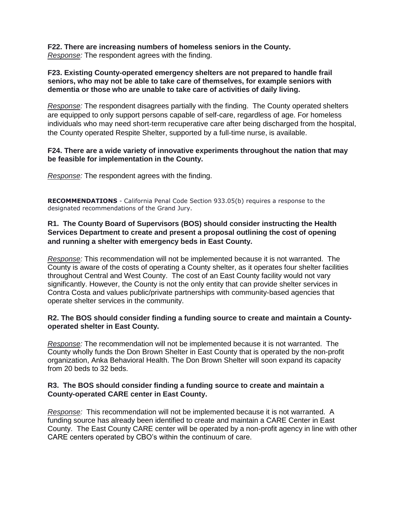**F22. There are increasing numbers of homeless seniors in the County.** *Response:* The respondent agrees with the finding.

#### **F23. Existing County-operated emergency shelters are not prepared to handle frail seniors, who may not be able to take care of themselves, for example seniors with dementia or those who are unable to take care of activities of daily living.**

*Response:* The respondent disagrees partially with the finding. The County operated shelters are equipped to only support persons capable of self-care, regardless of age. For homeless individuals who may need short-term recuperative care after being discharged from the hospital, the County operated Respite Shelter, supported by a full-time nurse, is available.

#### **F24. There are a wide variety of innovative experiments throughout the nation that may be feasible for implementation in the County.**

*Response:* The respondent agrees with the finding.

**RECOMMENDATIONS** - California Penal Code Section 933.05(b) requires a response to the designated recommendations of the Grand Jury.

#### **R1. The County Board of Supervisors (BOS) should consider instructing the Health Services Department to create and present a proposal outlining the cost of opening and running a shelter with emergency beds in East County.**

*Response:* This recommendation will not be implemented because it is not warranted. The County is aware of the costs of operating a County shelter, as it operates four shelter facilities throughout Central and West County. The cost of an East County facility would not vary significantly. However, the County is not the only entity that can provide shelter services in Contra Costa and values public/private partnerships with community-based agencies that operate shelter services in the community.

#### **R2. The BOS should consider finding a funding source to create and maintain a Countyoperated shelter in East County.**

*Response:* The recommendation will not be implemented because it is not warranted. The County wholly funds the Don Brown Shelter in East County that is operated by the non-profit organization, Anka Behavioral Health. The Don Brown Shelter will soon expand its capacity from 20 beds to 32 beds.

#### **R3. The BOS should consider finding a funding source to create and maintain a County-operated CARE center in East County.**

*Response:* This recommendation will not be implemented because it is not warranted. A funding source has already been identified to create and maintain a CARE Center in East County. The East County CARE center will be operated by a non-profit agency in line with other CARE centers operated by CBO's within the continuum of care.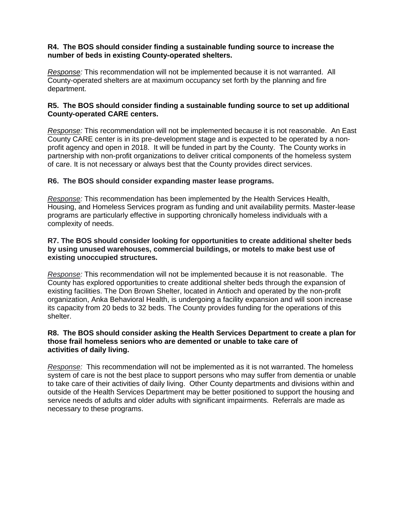#### **R4. The BOS should consider finding a sustainable funding source to increase the number of beds in existing County-operated shelters.**

*Response:* This recommendation will not be implemented because it is not warranted. All County-operated shelters are at maximum occupancy set forth by the planning and fire department.

#### **R5. The BOS should consider finding a sustainable funding source to set up additional County-operated CARE centers.**

*Response:* This recommendation will not be implemented because it is not reasonable. An East County CARE center is in its pre-development stage and is expected to be operated by a nonprofit agency and open in 2018. It will be funded in part by the County. The County works in partnership with non-profit organizations to deliver critical components of the homeless system of care. It is not necessary or always best that the County provides direct services.

#### **R6. The BOS should consider expanding master lease programs.**

*Response:* This recommendation has been implemented by the Health Services Health, Housing, and Homeless Services program as funding and unit availability permits. Master-lease programs are particularly effective in supporting chronically homeless individuals with a complexity of needs.

#### **R7. The BOS should consider looking for opportunities to create additional shelter beds by using unused warehouses, commercial buildings, or motels to make best use of existing unoccupied structures.**

*Response:* This recommendation will not be implemented because it is not reasonable. The County has explored opportunities to create additional shelter beds through the expansion of existing facilities. The Don Brown Shelter, located in Antioch and operated by the non-profit organization, Anka Behavioral Health, is undergoing a facility expansion and will soon increase its capacity from 20 beds to 32 beds. The County provides funding for the operations of this shelter.

#### **R8. The BOS should consider asking the Health Services Department to create a plan for those frail homeless seniors who are demented or unable to take care of activities of daily living.**

*Response:* This recommendation will not be implemented as it is not warranted. The homeless system of care is not the best place to support persons who may suffer from dementia or unable to take care of their activities of daily living. Other County departments and divisions within and outside of the Health Services Department may be better positioned to support the housing and service needs of adults and older adults with significant impairments. Referrals are made as necessary to these programs.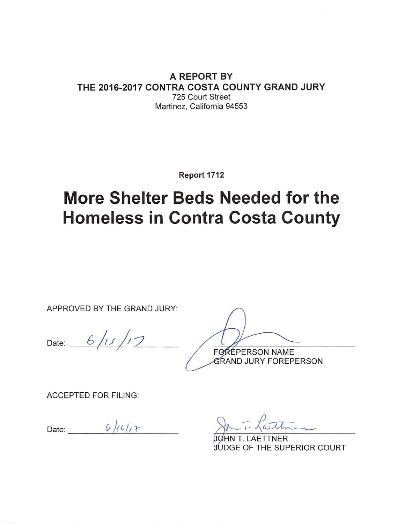### A REPORT BY THE 2016-2017 CONTRA COSTA COUNTY GRAND JURY 725 Court Street Martinez. California 94553

Report 1712

# **More Shelter Beds Needed for the Homeless in Contra Costa County**

APPROVED BY THE GRAND JURY:

Date:  $6/15/17$ 

FOREPERSON NAME

*GRAND JURY FOREPERSON* 

**ACCEPTED FOR FILING:** 

Date:  $6/16/17$ 

**TNER** 

**JUDGE OF THE SUPERIOR COURT**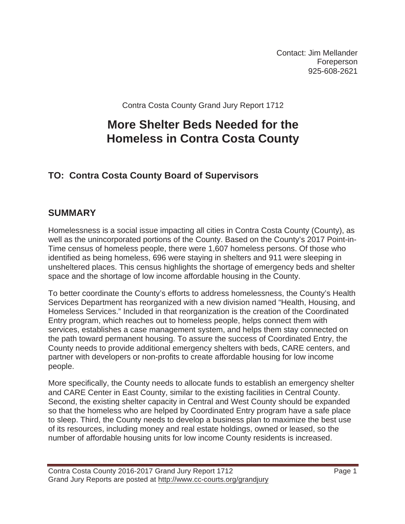Contact: Jim Mellander Foreperson 925-608-2621

Contra Costa County Grand Jury Report 1712

# **More Shelter Beds Needed for the Homeless in Contra Costa County**

# **TO: Contra Costa County Board of Supervisors**

# **SUMMARY**

Homelessness is a social issue impacting all cities in Contra Costa County (County), as well as the unincorporated portions of the County. Based on the County's 2017 Point-in-Time census of homeless people, there were 1,607 homeless persons. Of those who identified as being homeless, 696 were staying in shelters and 911 were sleeping in unsheltered places. This census highlights the shortage of emergency beds and shelter space and the shortage of low income affordable housing in the County.

To better coordinate the County's efforts to address homelessness, the County's Health Services Department has reorganized with a new division named "Health, Housing, and Homeless Services." Included in that reorganization is the creation of the Coordinated Entry program, which reaches out to homeless people, helps connect them with services, establishes a case management system, and helps them stay connected on the path toward permanent housing. To assure the success of Coordinated Entry, the County needs to provide additional emergency shelters with beds, CARE centers, and partner with developers or non-profits to create affordable housing for low income people.

More specifically, the County needs to allocate funds to establish an emergency shelter and CARE Center in East County, similar to the existing facilities in Central County. Second, the existing shelter capacity in Central and West County should be expanded so that the homeless who are helped by Coordinated Entry program have a safe place to sleep. Third, the County needs to develop a business plan to maximize the best use of its resources, including money and real estate holdings, owned or leased, so the number of affordable housing units for low income County residents is increased.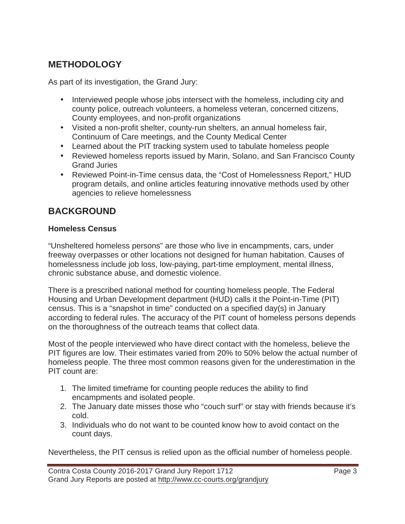# **METHODOLOGY**

As part of its investigation, the Grand Jury:

- Interviewed people whose jobs intersect with the homeless, including city and county police, outreach volunteers, a homeless veteran, concerned citizens, County employees, and non-profit organizations
- Visited a non-profit shelter, county-run shelters, an annual homeless fair, Continuum of Care meetings, and the County Medical Center
- Learned about the PIT tracking system used to tabulate homeless people
- Reviewed homeless reports issued by Marin, Solano, and San Francisco County Grand Juries
- Reviewed Point-in-Time census data, the "Cost of Homelessness Report," HUD program details, and online articles featuring innovative methods used by other agencies to relieve homelessness

# **BACKGROUND**

### **Homeless Census**

"Unsheltered homeless persons" are those who live in encampments, cars, under freeway overpasses or other locations not designed for human habitation. Causes of homelessness include job loss, low-paying, part-time employment, mental illness, chronic substance abuse, and domestic violence.

There is a prescribed national method for counting homeless people. The Federal Housing and Urban Development department (HUD) calls it the Point-in-Time (PIT) census. This is a "snapshot in time" conducted on a specified day(s) in January according to federal rules. The accuracy of the PIT count of homeless persons depends on the thoroughness of the outreach teams that collect data.

Most of the people interviewed who have direct contact with the homeless, believe the PIT figures are low. Their estimates varied from 20% to 50% below the actual number of homeless people. The three most common reasons given for the underestimation in the PIT count are:

- 1. The limited timeframe for counting people reduces the ability to find encampments and isolated people.
- 2. The January date misses those who "couch surf" or stay with friends because it's cold.
- 3. Individuals who do not want to be counted know how to avoid contact on the count days.

Nevertheless, the PIT census is relied upon as the official number of homeless people.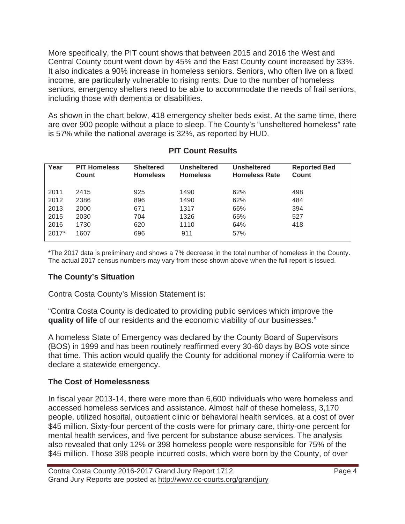More specifically, the PIT count shows that between 2015 and 2016 the West and Central County count went down by 45% and the East County count increased by 33%. It also indicates a 90% increase in homeless seniors. Seniors, who often live on a fixed income, are particularly vulnerable to rising rents. Due to the number of homeless seniors, emergency shelters need to be able to accommodate the needs of frail seniors, including those with dementia or disabilities.

As shown in the chart below, 418 emergency shelter beds exist. At the same time, there are over 900 people without a place to sleep. The County's "unsheltered homeless" rate is 57% while the national average is 32%, as reported by HUD.

| Year    | <b>PIT Homeless</b><br>Count | <b>Sheltered</b><br><b>Homeless</b> | <b>Unsheltered</b><br><b>Homeless</b> | <b>Unsheltered</b><br><b>Homeless Rate</b> | <b>Reported Bed</b><br>Count |
|---------|------------------------------|-------------------------------------|---------------------------------------|--------------------------------------------|------------------------------|
| 2011    | 2415                         | 925                                 | 1490                                  | 62%                                        | 498                          |
| 2012    | 2386                         | 896                                 | 1490                                  | 62%                                        | 484                          |
| 2013    | 2000                         | 671                                 | 1317                                  | 66%                                        | 394                          |
| 2015    | 2030                         | 704                                 | 1326                                  | 65%                                        | 527                          |
| 2016    | 1730                         | 620                                 | 1110                                  | 64%                                        | 418                          |
| $2017*$ | 1607                         | 696                                 | 911                                   | 57%                                        |                              |

### **PIT Count Results**

\*The 2017 data is preliminary and shows a 7% decrease in the total number of homeless in the County. The actual 2017 census numbers may vary from those shown above when the full report is issued.

# **The County's Situation**

Contra Costa County's Mission Statement is:

"Contra Costa County is dedicated to providing public services which improve the **quality of life** of our residents and the economic viability of our businesses."

A homeless State of Emergency was declared by the County Board of Supervisors (BOS) in 1999 and has been routinely reaffirmed every 30-60 days by BOS vote since that time. This action would qualify the County for additional money if California were to declare a statewide emergency.

### **The Cost of Homelessness**

In fiscal year 2013-14, there were more than 6,600 individuals who were homeless and accessed homeless services and assistance. Almost half of these homeless, 3,170 people, utilized hospital, outpatient clinic or behavioral health services, at a cost of over \$45 million. Sixty-four percent of the costs were for primary care, thirty-one percent for mental health services, and five percent for substance abuse services. The analysis also revealed that only 12% or 398 homeless people were responsible for 75% of the \$45 million. Those 398 people incurred costs, which were born by the County, of over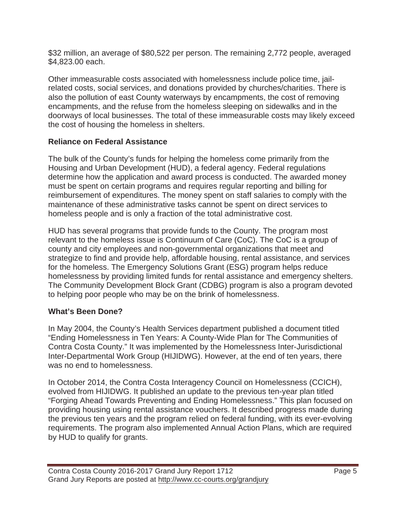\$32 million, an average of \$80,522 per person. The remaining 2,772 people, averaged \$4,823.00 each.

Other immeasurable costs associated with homelessness include police time, jailrelated costs, social services, and donations provided by churches/charities. There is also the pollution of east County waterways by encampments, the cost of removing encampments, and the refuse from the homeless sleeping on sidewalks and in the doorways of local businesses. The total of these immeasurable costs may likely exceed the cost of housing the homeless in shelters.

# **Reliance on Federal Assistance**

The bulk of the County's funds for helping the homeless come primarily from the Housing and Urban Development (HUD), a federal agency. Federal regulations determine how the application and award process is conducted. The awarded money must be spent on certain programs and requires regular reporting and billing for reimbursement of expenditures. The money spent on staff salaries to comply with the maintenance of these administrative tasks cannot be spent on direct services to homeless people and is only a fraction of the total administrative cost.

HUD has several programs that provide funds to the County. The program most relevant to the homeless issue is Continuum of Care (CoC). The CoC is a group of county and city employees and non-governmental organizations that meet and strategize to find and provide help, affordable housing, rental assistance, and services for the homeless. The Emergency Solutions Grant (ESG) program helps reduce homelessness by providing limited funds for rental assistance and emergency shelters. The Community Development Block Grant (CDBG) program is also a program devoted to helping poor people who may be on the brink of homelessness.

# **What's Been Done?**

In May 2004, the County's Health Services department published a document titled "Ending Homelessness in Ten Years: A County-Wide Plan for The Communities of Contra Costa County." It was implemented by the Homelessness Inter-Jurisdictional Inter-Departmental Work Group (HIJIDWG). However, at the end of ten years, there was no end to homelessness.

In October 2014, the Contra Costa Interagency Council on Homelessness (CCICH), evolved from HIJIDWG. It published an update to the previous ten-year plan titled "Forging Ahead Towards Preventing and Ending Homelessness." This plan focused on providing housing using rental assistance vouchers. It described progress made during the previous ten years and the program relied on federal funding, with its ever-evolving requirements. The program also implemented Annual Action Plans, which are required by HUD to qualify for grants.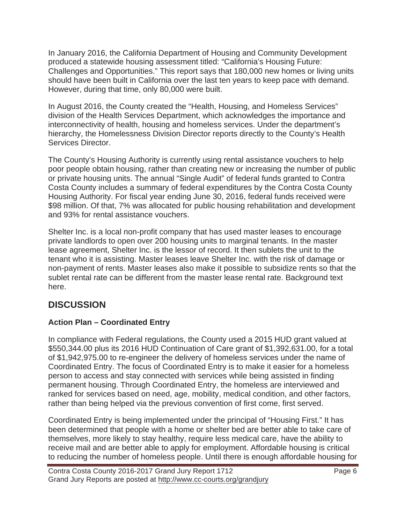In January 2016, the California Department of Housing and Community Development produced a statewide housing assessment titled: "California's Housing Future: Challenges and Opportunities." This report says that 180,000 new homes or living units should have been built in California over the last ten years to keep pace with demand. However, during that time, only 80,000 were built.

In August 2016, the County created the "Health, Housing, and Homeless Services" division of the Health Services Department, which acknowledges the importance and interconnectivity of health, housing and homeless services. Under the department's hierarchy, the Homelessness Division Director reports directly to the County's Health Services Director.

The County's Housing Authority is currently using rental assistance vouchers to help poor people obtain housing, rather than creating new or increasing the number of public or private housing units. The annual "Single Audit" of federal funds granted to Contra Costa County includes a summary of federal expenditures by the Contra Costa County Housing Authority. For fiscal year ending June 30, 2016, federal funds received were \$98 million. Of that, 7% was allocated for public housing rehabilitation and development and 93% for rental assistance vouchers.

Shelter Inc. is a local non-profit company that has used master leases to encourage private landlords to open over 200 housing units to marginal tenants. In the master lease agreement, Shelter Inc. is the lessor of record. It then sublets the unit to the tenant who it is assisting. Master leases leave Shelter Inc. with the risk of damage or non-payment of rents. Master leases also make it possible to subsidize rents so that the sublet rental rate can be different from the master lease rental rate. Background text here.

# **DISCUSSION**

# **Action Plan – Coordinated Entry**

In compliance with Federal regulations, the County used a 2015 HUD grant valued at \$550,344.00 plus its 2016 HUD Continuation of Care grant of \$1,392,631.00, for a total of \$1,942,975.00 to re-engineer the delivery of homeless services under the name of Coordinated Entry. The focus of Coordinated Entry is to make it easier for a homeless person to access and stay connected with services while being assisted in finding permanent housing. Through Coordinated Entry, the homeless are interviewed and ranked for services based on need, age, mobility, medical condition, and other factors, rather than being helped via the previous convention of first come, first served.

Coordinated Entry is being implemented under the principal of "Housing First." It has been determined that people with a home or shelter bed are better able to take care of themselves, more likely to stay healthy, require less medical care, have the ability to receive mail and are better able to apply for employment. Affordable housing is critical to reducing the number of homeless people. Until there is enough affordable housing for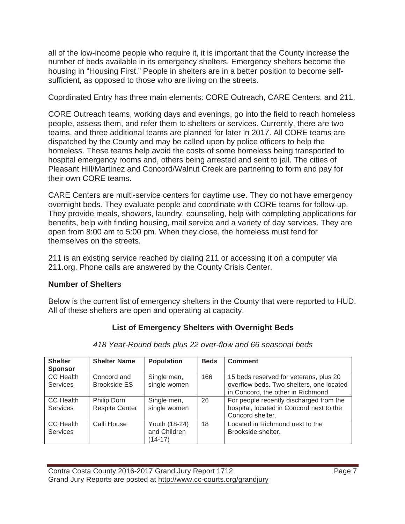all of the low-income people who require it, it is important that the County increase the number of beds available in its emergency shelters. Emergency shelters become the housing in "Housing First." People in shelters are in a better position to become selfsufficient, as opposed to those who are living on the streets.

Coordinated Entry has three main elements: CORE Outreach, CARE Centers, and 211.

CORE Outreach teams, working days and evenings, go into the field to reach homeless people, assess them, and refer them to shelters or services. Currently, there are two teams, and three additional teams are planned for later in 2017. All CORE teams are dispatched by the County and may be called upon by police officers to help the homeless. These teams help avoid the costs of some homeless being transported to hospital emergency rooms and, others being arrested and sent to jail. The cities of Pleasant Hill/Martinez and Concord/Walnut Creek are partnering to form and pay for their own CORE teams.

CARE Centers are multi-service centers for daytime use. They do not have emergency overnight beds. They evaluate people and coordinate with CORE teams for follow-up. They provide meals, showers, laundry, counseling, help with completing applications for benefits, help with finding housing, mail service and a variety of day services. They are open from 8:00 am to 5:00 pm. When they close, the homeless must fend for themselves on the streets.

211 is an existing service reached by dialing 211 or accessing it on a computer via 211.org. Phone calls are answered by the County Crisis Center.

### **Number of Shelters**

Below is the current list of emergency shelters in the County that were reported to HUD. All of these shelters are open and operating at capacity.

# **List of Emergency Shelters with Overnight Beds**

| <b>Shelter</b><br><b>Sponsor</b> | <b>Shelter Name</b>                  | <b>Population</b>                        | <b>Beds</b> | <b>Comment</b>                                                                                                           |
|----------------------------------|--------------------------------------|------------------------------------------|-------------|--------------------------------------------------------------------------------------------------------------------------|
| CC Health<br><b>Services</b>     | Concord and<br>Brookside ES          | Single men,<br>single women              | 166         | 15 beds reserved for veterans, plus 20<br>overflow beds. Two shelters, one located<br>in Concord, the other in Richmond. |
| CC Health<br><b>Services</b>     | Philip Dorn<br><b>Respite Center</b> | Single men,<br>single women              | 26          | For people recently discharged from the<br>hospital, located in Concord next to the<br>Concord shelter.                  |
| CC Health<br><b>Services</b>     | Calli House                          | Youth (18-24)<br>and Children<br>(14-17) | 18          | Located in Richmond next to the<br>Brookside shelter.                                                                    |

*418 Year-Round beds plus 22 over-flow and 66 seasonal beds*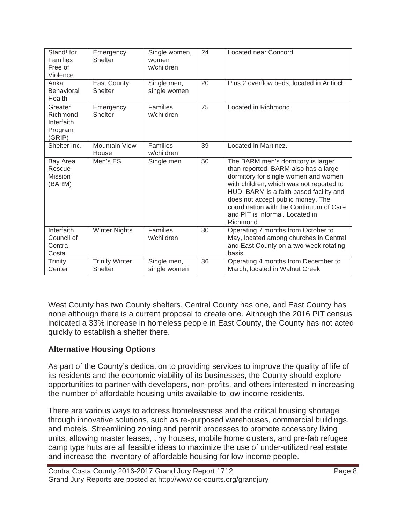| Stand! for<br><b>Families</b><br>Free of<br>Violence   | Emergency<br>Shelter                    | Single women,<br>women<br>w/children | 24 | Located near Concord.                                                                                                                                                                                                                                                                                                                     |
|--------------------------------------------------------|-----------------------------------------|--------------------------------------|----|-------------------------------------------------------------------------------------------------------------------------------------------------------------------------------------------------------------------------------------------------------------------------------------------------------------------------------------------|
| Anka<br><b>Behavioral</b><br>Health                    | East County<br><b>Shelter</b>           | Single men,<br>single women          | 20 | Plus 2 overflow beds, located in Antioch.                                                                                                                                                                                                                                                                                                 |
| Greater<br>Richmond<br>Interfaith<br>Program<br>(GRIP) | Emergency<br>Shelter                    | Families<br>w/children               | 75 | Located in Richmond.                                                                                                                                                                                                                                                                                                                      |
| Shelter Inc.                                           | <b>Mountain View</b><br>House           | Families<br>w/children               | 39 | Located in Martinez.                                                                                                                                                                                                                                                                                                                      |
| Bay Area<br>Rescue<br><b>Mission</b><br>(BARM)         | Men's ES                                | Single men                           | 50 | The BARM men's dormitory is larger<br>than reported. BARM also has a large<br>dormitory for single women and women<br>with children, which was not reported to<br>HUD. BARM is a faith based facility and<br>does not accept public money. The<br>coordination with the Continuum of Care<br>and PIT is informal. Located in<br>Richmond. |
| Interfaith<br>Council of<br>Contra<br>Costa            | <b>Winter Nights</b>                    | Families<br>w/children               | 30 | Operating 7 months from October to<br>May, located among churches in Central<br>and East County on a two-week rotating<br>basis.                                                                                                                                                                                                          |
| Trinity<br>Center                                      | <b>Trinity Winter</b><br><b>Shelter</b> | Single men,<br>single women          | 36 | Operating 4 months from December to<br>March, located in Walnut Creek.                                                                                                                                                                                                                                                                    |

West County has two County shelters, Central County has one, and East County has none although there is a current proposal to create one. Although the 2016 PIT census indicated a 33% increase in homeless people in East County, the County has not acted quickly to establish a shelter there.

# **Alternative Housing Options**

As part of the County's dedication to providing services to improve the quality of life of its residents and the economic viability of its businesses, the County should explore opportunities to partner with developers, non-profits, and others interested in increasing the number of affordable housing units available to low-income residents.

There are various ways to address homelessness and the critical housing shortage through innovative solutions, such as re-purposed warehouses, commercial buildings, and motels. Streamlining zoning and permit processes to promote accessory living units, allowing master leases, tiny houses, mobile home clusters, and pre-fab refugee camp type huts are all feasible ideas to maximize the use of under-utilized real estate and increase the inventory of affordable housing for low income people.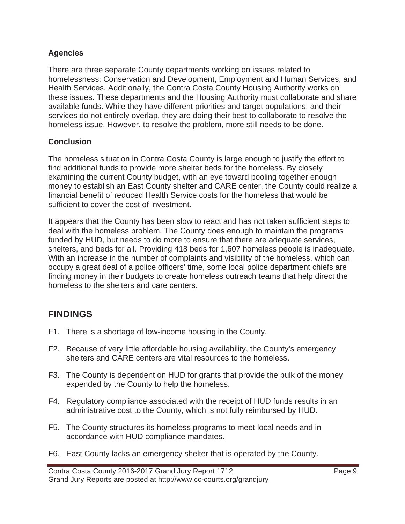### **Agencies**

There are three separate County departments working on issues related to homelessness: Conservation and Development, Employment and Human Services, and Health Services. Additionally, the Contra Costa County Housing Authority works on these issues. These departments and the Housing Authority must collaborate and share available funds. While they have different priorities and target populations, and their services do not entirely overlap, they are doing their best to collaborate to resolve the homeless issue. However, to resolve the problem, more still needs to be done.

### **Conclusion**

The homeless situation in Contra Costa County is large enough to justify the effort to find additional funds to provide more shelter beds for the homeless. By closely examining the current County budget, with an eye toward pooling together enough money to establish an East County shelter and CARE center, the County could realize a financial benefit of reduced Health Service costs for the homeless that would be sufficient to cover the cost of investment.

It appears that the County has been slow to react and has not taken sufficient steps to deal with the homeless problem. The County does enough to maintain the programs funded by HUD, but needs to do more to ensure that there are adequate services, shelters, and beds for all. Providing 418 beds for 1,607 homeless people is inadequate. With an increase in the number of complaints and visibility of the homeless, which can occupy a great deal of a police officers' time, some local police department chiefs are finding money in their budgets to create homeless outreach teams that help direct the homeless to the shelters and care centers.

# **FINDINGS**

- F1. There is a shortage of low-income housing in the County.
- F2. Because of very little affordable housing availability, the County's emergency shelters and CARE centers are vital resources to the homeless.
- F3. The County is dependent on HUD for grants that provide the bulk of the money expended by the County to help the homeless.
- F4. Regulatory compliance associated with the receipt of HUD funds results in an administrative cost to the County, which is not fully reimbursed by HUD.
- F5. The County structures its homeless programs to meet local needs and in accordance with HUD compliance mandates.
- F6. East County lacks an emergency shelter that is operated by the County.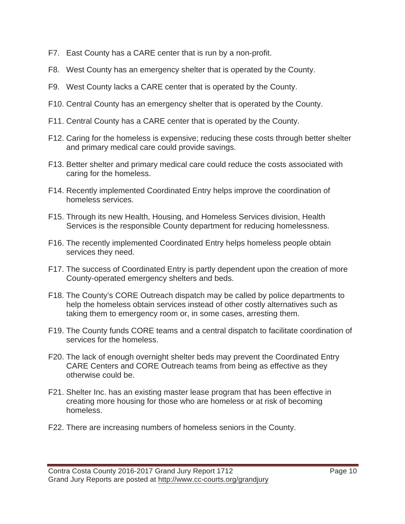- F7. East County has a CARE center that is run by a non-profit.
- F8. West County has an emergency shelter that is operated by the County.
- F9. West County lacks a CARE center that is operated by the County.
- F10. Central County has an emergency shelter that is operated by the County.
- F11. Central County has a CARE center that is operated by the County.
- F12. Caring for the homeless is expensive; reducing these costs through better shelter and primary medical care could provide savings.
- F13. Better shelter and primary medical care could reduce the costs associated with caring for the homeless.
- F14. Recently implemented Coordinated Entry helps improve the coordination of homeless services.
- F15. Through its new Health, Housing, and Homeless Services division, Health Services is the responsible County department for reducing homelessness.
- F16. The recently implemented Coordinated Entry helps homeless people obtain services they need.
- F17. The success of Coordinated Entry is partly dependent upon the creation of more County-operated emergency shelters and beds.
- F18. The County's CORE Outreach dispatch may be called by police departments to help the homeless obtain services instead of other costly alternatives such as taking them to emergency room or, in some cases, arresting them.
- F19. The County funds CORE teams and a central dispatch to facilitate coordination of services for the homeless.
- F20. The lack of enough overnight shelter beds may prevent the Coordinated Entry CARE Centers and CORE Outreach teams from being as effective as they otherwise could be.
- F21. Shelter Inc. has an existing master lease program that has been effective in creating more housing for those who are homeless or at risk of becoming homeless.
- F22. There are increasing numbers of homeless seniors in the County.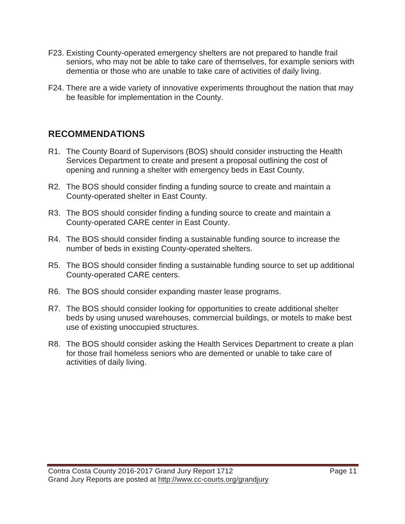- F23. Existing County-operated emergency shelters are not prepared to handle frail seniors, who may not be able to take care of themselves, for example seniors with dementia or those who are unable to take care of activities of daily living.
- F24. There are a wide variety of innovative experiments throughout the nation that may be feasible for implementation in the County.

# **RECOMMENDATIONS**

- R1. The County Board of Supervisors (BOS) should consider instructing the Health Services Department to create and present a proposal outlining the cost of opening and running a shelter with emergency beds in East County.
- R2. The BOS should consider finding a funding source to create and maintain a County-operated shelter in East County.
- R3. The BOS should consider finding a funding source to create and maintain a County-operated CARE center in East County.
- R4. The BOS should consider finding a sustainable funding source to increase the number of beds in existing County-operated shelters.
- R5. The BOS should consider finding a sustainable funding source to set up additional County-operated CARE centers.
- R6. The BOS should consider expanding master lease programs.
- R7. The BOS should consider looking for opportunities to create additional shelter beds by using unused warehouses, commercial buildings, or motels to make best use of existing unoccupied structures.
- R8. The BOS should consider asking the Health Services Department to create a plan for those frail homeless seniors who are demented or unable to take care of activities of daily living.